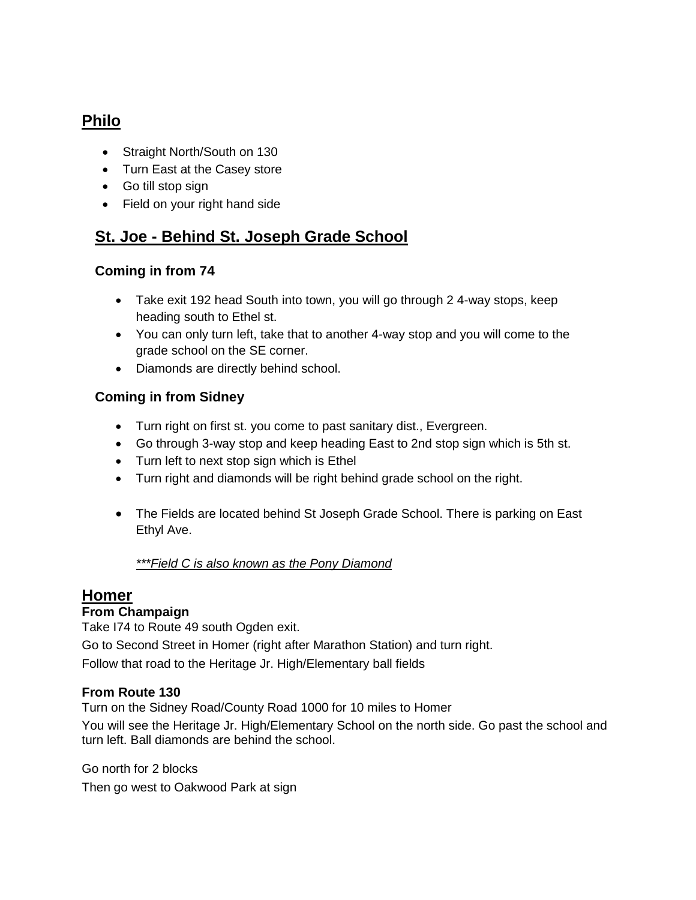# **Philo**

- Straight North/South on 130
- Turn East at the Casey store
- Go till stop sign
- Field on your right hand side

## **St. Joe - Behind St. Joseph Grade School**

### **Coming in from 74**

- Take exit 192 head South into town, you will go through 2 4-way stops, keep heading south to Ethel st.
- You can only turn left, take that to another 4-way stop and you will come to the grade school on the SE corner.
- Diamonds are directly behind school.

### **Coming in from Sidney**

- Turn right on first st. you come to past sanitary dist., Evergreen.
- Go through 3-way stop and keep heading East to 2nd stop sign which is 5th st.
- Turn left to next stop sign which is Ethel
- Turn right and diamonds will be right behind grade school on the right.
- The Fields are located behind St Joseph Grade School. There is parking on East Ethyl Ave.

#### *\*\*\*Field C is also known as the Pony Diamond*

## **Homer**

#### **From Champaign**

Take I74 to Route 49 south Ogden exit.

Go to Second Street in Homer (right after Marathon Station) and turn right.

Follow that road to the Heritage Jr. High/Elementary ball fields

#### **From Route 130**

Turn on the Sidney Road/County Road 1000 for 10 miles to Homer

You will see the Heritage Jr. High/Elementary School on the north side. Go past the school and turn left. Ball diamonds are behind the school.

Go north for 2 blocks Then go west to Oakwood Park at sign